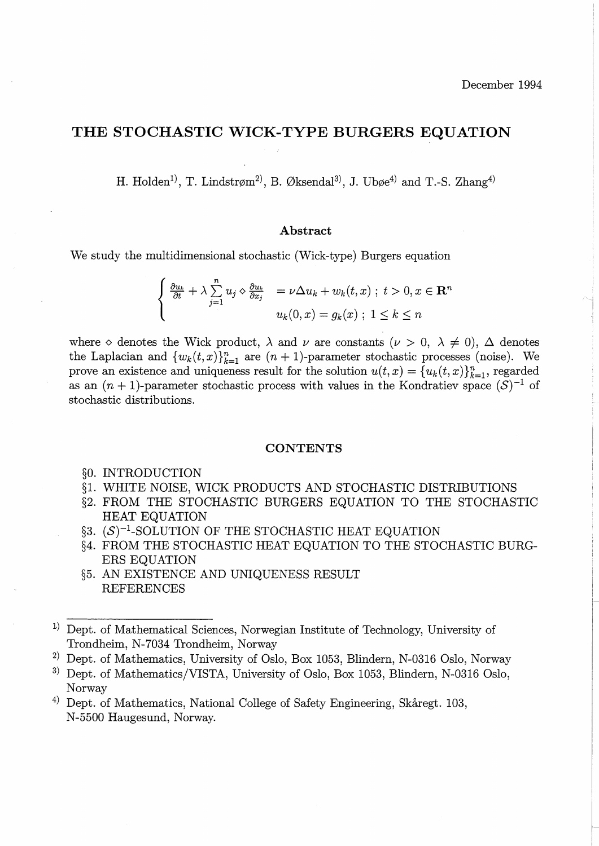# **THE STOCHASTIC WICK-TYPE BURGERS EQUATION**

H. Holden<sup>1</sup>, T. Lindstrøm<sup>2</sup>, B. Øksendal<sup>3</sup>, J. Ubøe<sup>4</sup> and T.-S. Zhang<sup>4</sup>

### **Abstract**

We study the multidimensional stochastic (Wick-type) Burgers equation

$$
\begin{cases} \frac{\partial u_k}{\partial t} + \lambda \sum_{j=1}^n u_j \diamond \frac{\partial u_k}{\partial x_j} &= \nu \Delta u_k + w_k(t, x) \; ; \; t > 0, x \in \mathbb{R}^n \\ u_k(0, x) = g_k(x) \; ; \; 1 \le k \le n \end{cases}
$$

where  $\diamond$  denotes the Wick product,  $\lambda$  and  $\nu$  are constants ( $\nu > 0$ ,  $\lambda \neq 0$ ),  $\Delta$  denotes the Laplacian and  $\{w_k(t,x)\}_{k=1}^n$  are  $(n+1)$ -parameter stochastic processes (noise). We prove an existence and uniqueness result for the solution  $u(t, x) = \{u_k(t, x)\}_{k=1}^n$ , regarded as an  $(n + 1)$ -parameter stochastic process with values in the Kondratiev space  $(S)^{-1}$  of stochastic distributions.

#### **CONTENTS**

- §0. INTRODUCTION
- §1. WHITE NOISE, WICK PRODUCTS AND STOCHASTIC DISTRIBUTIONS
- §2. FROM THE STOCHASTIC BURGERS EQUATION TO THE STOCHASTIC HEAT EQUATION
- $\S3.$   $(S)^{-1}$ -SOLUTION OF THE STOCHASTIC HEAT EQUATION
- §4. FROM THE STOCHASTIC HEAT EQUATION TO THE STOCHASTIC BURG-ERS EQUATION
- §5. AN EXISTENCE AND UNIQUENESS RESULT REFERENCES

<sup>&</sup>lt;sup>1)</sup> Dept. of Mathematical Sciences, Norwegian Institute of Technology, University of Trondheim, N-7034 Trondheim, Norway

<sup>&</sup>lt;sup>2)</sup> Dept. of Mathematics, University of Oslo, Box 1053, Blindern, N-0316 Oslo, Norway

<sup>&</sup>lt;sup>3)</sup> Dept. of Mathematics/VISTA, University of Oslo, Box 1053, Blindern, N-0316 Oslo, Norway

<sup>&</sup>lt;sup>4)</sup> Dept. of Mathematics, National College of Safety Engineering, Skåregt. 103, N-5500 Haugesund, Norway.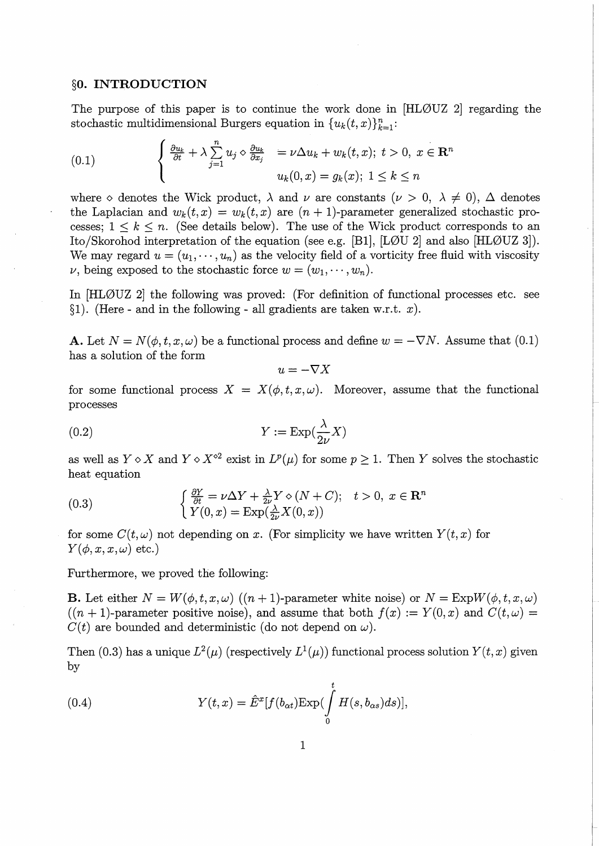#### **§0. INTRODUCTION**

The purpose of this paper is to continue the work done in [HL0UZ 2] regarding the stochastic multidimensional Burgers equation in  $\{u_k(t,x)\}_{k=1}^n$ :

(0.1) 
$$
\begin{cases} \frac{\partial u_k}{\partial t} + \lambda \sum_{j=1}^n u_j \diamond \frac{\partial u_k}{\partial x_j} = \nu \Delta u_k + w_k(t, x); \ t > 0, \ x \in \mathbb{R}^n \\ u_k(0, x) = g_k(x); \ 1 \le k \le n \end{cases}
$$

where  $\diamond$  denotes the Wick product,  $\lambda$  and  $\nu$  are constants ( $\nu > 0$ ,  $\lambda \neq 0$ ),  $\Delta$  denotes the Laplacian and  $w_k(t, x) = w_k(t, x)$  are  $(n + 1)$ -parameter generalized stochastic processes;  $1 \leq k \leq n$ . (See details below). The use of the Wick product corresponds to an Ito/Skorohod interpretation of the equation (see e.g. [B1], [L0U 2] and also [HL0UZ 3]). We may regard  $u = (u_1, \dots, u_n)$  as the velocity field of a vorticity free fluid with viscosity  $\nu$ , being exposed to the stochastic force  $w = (w_1, \dots, w_n)$ .

In [HLØUZ 2] the following was proved: (For definition of functional processes etc. see §1). (Here - and in the following - all gradients are taken w.r.t.  $x$ ).

**A.** Let  $N = N(\phi, t, x, \omega)$  be a functional process and define  $w = -\nabla N$ . Assume that (0.1) has a solution of the form

 $u=-\nabla X$ 

for some functional process  $X = X(\phi, t, x, \omega)$ . Moreover, assume that the functional processes

(0.2) 
$$
Y := \exp(\frac{\lambda}{2\nu}X)
$$

as well as  $Y \circ X$  and  $Y \circ X^{\circ 2}$  exist in  $L^p(\mu)$  for some  $p \geq 1$ . Then *Y* solves the stochastic heat equation

(0.3) 
$$
\begin{cases} \frac{\partial Y}{\partial t} = \nu \Delta Y + \frac{\lambda}{2\nu} Y \diamond (N + C); & t > 0, \ x \in \mathbb{R}^n \\ Y(0, x) = \exp(\frac{\lambda}{2\nu} X(0, x)) \end{cases}
$$

for some  $C(t, \omega)$  not depending on *x*. (For simplicity we have written  $Y(t, x)$  for  $Y(\phi, x, x, \omega)$  etc.)

Furthermore, we proved the following:

**B.** Let either  $N = W(\phi, t, x, \omega)$  ((n + 1)-parameter white noise) or  $N = \text{Exp}W(\phi, t, x, \omega)$  $((n + 1)$ -parameter positive noise), and assume that both  $f(x) := Y(0, x)$  and  $C(t, \omega) =$  $C(t)$  are bounded and deterministic (do not depend on  $\omega$ ).

Then (0.3) has a unique  $L^2(\mu)$  (respectively  $L^1(\mu)$ ) functional process solution  $Y(t, x)$  given by

(0.4) 
$$
Y(t,x) = \hat{E}^x[f(b_{\alpha t}) \text{Exp}(\int_0^t H(s,b_{\alpha s})ds)],
$$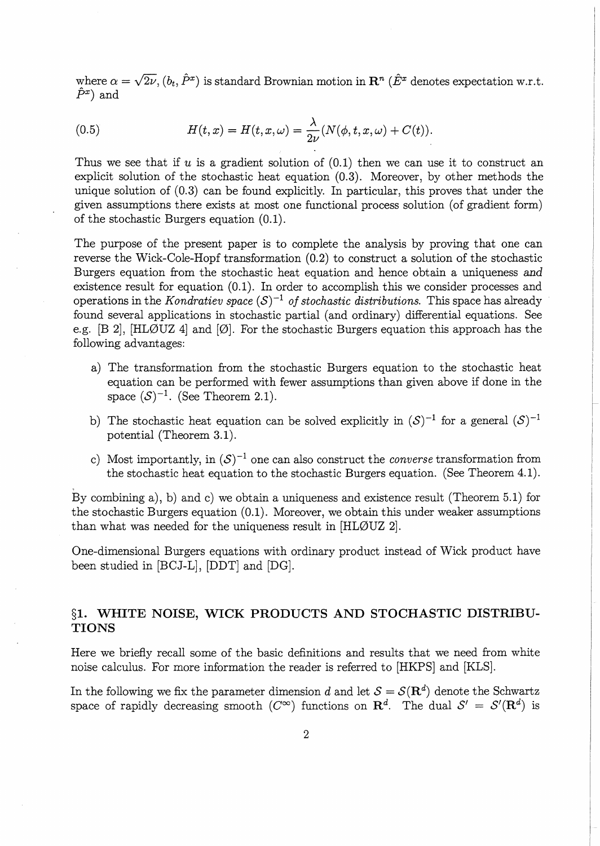where  $\alpha = \sqrt{2\nu}$ ,  $(b_t, \hat{P}^x)$  is standard Brownian motion in  $\mathbb{R}^n$  ( $\hat{E}^x$  denotes expectation w.r.t.  $\hat{P}^x$ ) and

(0.5) 
$$
H(t,x) = H(t,x,\omega) = \frac{\lambda}{2\nu} (N(\phi,t,x,\omega) + C(t)).
$$

Thus we see that if *u* is a gradient solution of  $(0.1)$  then we can use it to construct an explicit solution of the stochastic heat equation (0.3). Moreover, by other methods the unique solution of (0.3) can be found explicitly. In particular, this proves that under the given assumptions there exists at most one functional process solution (of gradient form) of the stochastic Burgers equation (0.1).

The purpose of the present paper is to complete the analysis by proving that one can reverse the Wick-Cole-Hopf transformation (0.2) to construct a solution of the stochastic Burgers equation from the stochastic heat equation and hence obtain a uniqueness and existence result for equation (0.1). In order to accomplish this we consider processes and operations in the *Kondratiev space*  $(S)^{-1}$  *of stochastic distributions.* This space has already found several applications in stochastic partial (and ordinary) differential equations. See e.g. [B 2], [HLØUZ 4] and [Ø]. For the stochastic Burgers equation this approach has the following advantages:

- a) The transformation from the stochastic Burgers equation to the stochastic heat equation can be performed with fewer assumptions than given above if done in the space  $(S)^{-1}$ . (See Theorem 2.1).
- b) The stochastic heat equation can be solved explicitly in  $(S)^{-1}$  for a general  $(S)^{-1}$ potential (Theorem 3.1).
- c) Most importantly, in  $(S)^{-1}$  one can also construct the *converse* transformation from the stochastic heat equation to the stochastic Burgers equation. (See Theorem 4.1).

By combining a), b) and c) we obtain a uniqueness and existence result (Theorem 5.1) for the stochastic Burgers equation (0.1). Moreover, we obtain this under weaker assumptions than what was needed for the uniqueness result in [HL0UZ 2].

One-dimensional Burgers equations with ordinary product instead of Wick product have been studied in [BCJ-L], [DDT] and [DG].

# **§1. WHITE NOISE, WICK PRODUCTS AND STOCHASTIC DISTRIBU-TIONS**

Here we briefly recall some of the basic definitions and results that we need from white noise calculus. For more information the reader is referred to [HKPS] and [KLS].

In the following we fix the parameter dimension d and let  $S = S(\mathbf{R}^d)$  denote the Schwartz space of rapidly decreasing smooth ( $C^{\infty}$ ) functions on  $\mathbb{R}^{d}$ . The dual  $S' = S'(\mathbb{R}^{d})$  is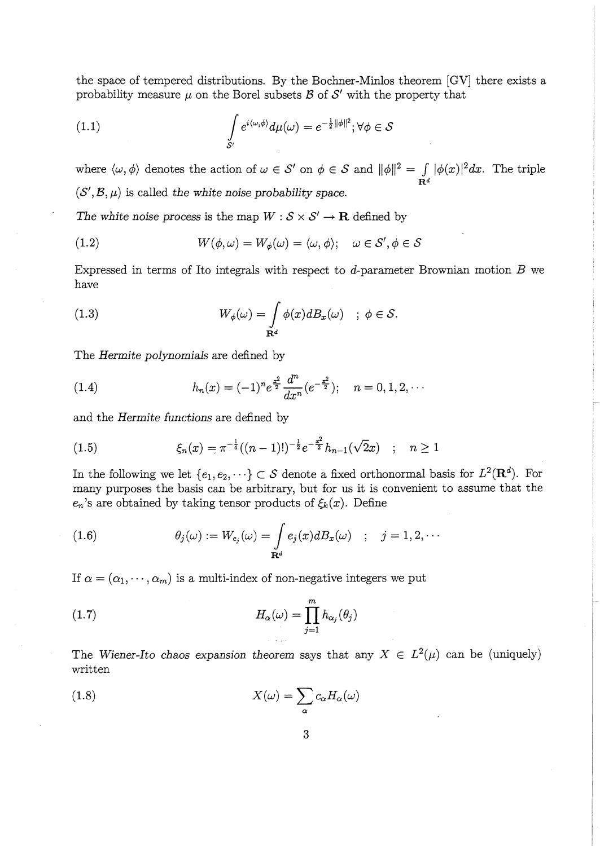the space of tempered distributions. By the Bochner-Minlos theorem [GV] there exists a probability measure  $\mu$  on the Borel subsets  $\mathcal B$  of  $\mathcal S'$  with the property that

(1.1) 
$$
\int_{\mathcal{S}'} e^{i\langle \omega,\phi \rangle} d\mu(\omega) = e^{-\frac{1}{2}||\phi||^2}; \forall \phi \in \mathcal{S}
$$

where  $\langle \omega, \phi \rangle$  denotes the action of  $\omega \in S'$  on  $\phi \in S$  and  $||\phi||^2 = \int |\phi(x)|^2 dx$ . The triple  $\mathbf{R}^d$  $(S', \mathcal{B}, \mu)$  is called *the white noise probability space.* 

The white noise process is the map  $W : \mathcal{S} \times \mathcal{S}' \to \mathbf{R}$  defined by

(1.2) 
$$
W(\phi,\omega) = W_{\phi}(\omega) = \langle \omega, \phi \rangle; \quad \omega \in \mathcal{S}', \phi \in \mathcal{S}
$$

Expressed in terms of Ito integrals with respect to d-parameter Brownian motion  $B$  we have

(1.3) 
$$
W_{\phi}(\omega) = \int_{\mathbf{R}^d} \phi(x) dB_x(\omega) \quad ; \ \phi \in \mathcal{S}.
$$

The *Hermite polynomials* are defined by

(1.4) 
$$
h_n(x) = (-1)^n e^{\frac{x^2}{2}} \frac{d^n}{dx^n} (e^{-\frac{x^2}{2}}); \quad n = 0, 1, 2, \cdots
$$

and the *Hermite functions* are defined by

(1.5) 
$$
\xi_n(x) = \pi^{-\frac{1}{4}}((n-1)!)^{-\frac{1}{2}}e^{-\frac{x^2}{2}}h_{n-1}(\sqrt{2}x) \quad ; \quad n \ge 1
$$

In the following we let  $\{e_1, e_2, \dots\} \subset S$  denote a fixed orthonormal basis for  $L^2(\mathbf{R}^d)$ . For many purposes the basis can be arbitrary, but for us it is convenient to assume that the  $e_n$ 's are obtained by taking tensor products of  $\xi_k(x)$ . Define

(1.6) 
$$
\theta_j(\omega) := W_{e_j}(\omega) = \int_{\mathbf{R}^d} e_j(x) dE_x(\omega) \quad ; \quad j = 1, 2, \cdots
$$

If  $\alpha = (\alpha_1, \dots, \alpha_m)$  is a multi-index of non-negative integers we put

(1.7) 
$$
H_{\alpha}(\omega) = \prod_{j=1}^{m} h_{\alpha_j}(\theta_j)
$$

The *Wiener-Ito chaos expansion theorem says that any*  $X \in L^2(\mu)$  *can be (uniquely)* written

(1.8) 
$$
X(\omega) = \sum_{\alpha} c_{\alpha} H_{\alpha}(\omega)
$$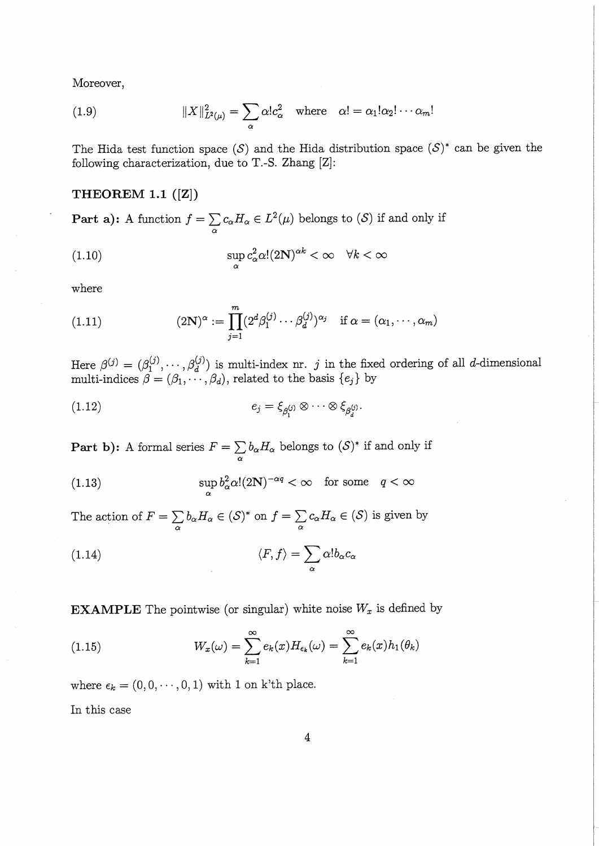Moreover,

(1.9) 
$$
||X||_{L^2(\mu)}^2 = \sum_{\alpha} \alpha! c_{\alpha}^2 \quad \text{where} \quad \alpha! = \alpha_1! \alpha_2! \cdots \alpha_m!
$$

The Hida test function space  $(S)$  and the Hida distribution space  $(S)^*$  can be given the following characterization, due to T.-S. Zhang [Z]:

## **THEOREM 1.1 ([Z])**

**Part a):** A function  $f = \sum c_{\alpha} H_{\alpha} \in L^2(\mu)$  belongs to *(S)* if and only if  $\alpha$ 

(1.10) 
$$
\sup_{\alpha} c_{\alpha}^{2} \alpha! (2\mathbf{N})^{\alpha k} < \infty \quad \forall k < \infty
$$

where

(1.11) 
$$
(2\mathbf{N})^{\alpha} := \prod_{j=1}^{m} (2^{d} \beta_1^{(j)} \cdots \beta_d^{(j)})^{\alpha_j} \quad \text{if } \alpha = (\alpha_1, \cdots, \alpha_m)
$$

Here  $\beta^{(j)} = (\beta_1^{(j)}, \dots, \beta_d^{(j)})$  is multi-index nr. j in the fixed ordering of all d-dimensional multi-indices  $\beta = (\beta_1, \dots, \beta_d)$ , related to the basis  $\{e_j\}$  by

$$
(1.12) \t\t e_j = \xi_{\beta_1^{(j)}} \otimes \cdots \otimes \xi_{\beta_d^{(j)}}.
$$

**Part b):** A formal series  $F = \sum b_{\alpha} H_{\alpha}$  belongs to  $(S)^*$  if and only if  $\alpha$ 

(1.13) 
$$
\sup_{\alpha} b_{\alpha}^{2} \alpha! (2\mathbf{N})^{-\alpha q} < \infty \quad \text{for some} \quad q < \infty
$$

The action of  $F=\sum b_{\alpha}H_{\alpha} \in (S)^*$  on  $f=\sum c_{\alpha}H_{\alpha} \in (S)$  is given by  $\alpha$  *a* 

(1.14) 
$$
\langle F, f \rangle = \sum_{\alpha} \alpha! b_{\alpha} c_{\alpha}
$$

**EXAMPLE** The pointwise (or singular) white noise  $W_x$  is defined by

(1.15) 
$$
W_x(\omega) = \sum_{k=1}^{\infty} e_k(x) H_{\epsilon_k}(\omega) = \sum_{k=1}^{\infty} e_k(x) h_1(\theta_k)
$$

where  $\epsilon_k = (0, 0, \dots, 0, 1)$  with 1 on k'th place.

In this case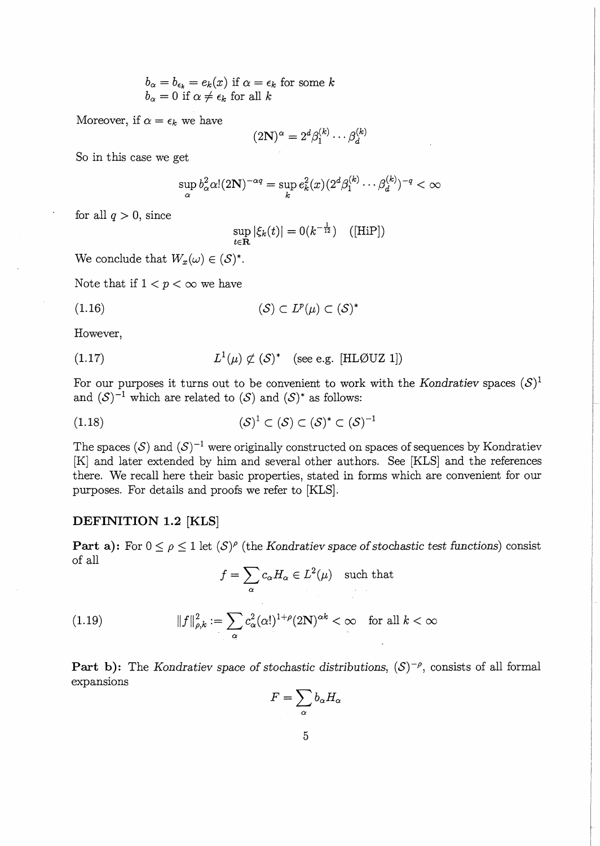$$
b_{\alpha} = b_{\epsilon_k} = e_k(x) \text{ if } \alpha = \epsilon_k \text{ for some } k
$$
  

$$
b_{\alpha} = 0 \text{ if } \alpha \neq \epsilon_k \text{ for all } k
$$

Moreover, if  $\alpha = \epsilon_k$  we have

$$
(2\mathbf{N})^{\alpha} = 2^d \beta_1^{(k)} \cdots \beta_d^{(k)}
$$

So in this case we get

$$
\sup_{\alpha} b_{\alpha}^2 \alpha! (2\mathbf{N})^{-\alpha q} = \sup_{k} e_k^2(x) (2^d \beta_1^{(k)} \cdots \beta_d^{(k)})^{-q} < \infty
$$

for all  $q > 0$ , since

$$
\sup_{t \in \mathbf{R}} |\xi_k(t)| = 0(k^{-\frac{1}{12}}) \quad \text{([HiP])}
$$

We conclude that  $W_x(\omega) \in (\mathcal{S})^*$ .

Note that if  $1 < p < \infty$  we have

$$
(1.16)\t\t\t\t(S) \subset L^p(\mu) \subset (S)^*
$$

However,

(1.17) 
$$
L^1(\mu) \not\subset (S)^* \quad \text{(see e.g. [HLØUZ 1])}
$$

For our purposes it turns out to be convenient to work with the *Kondratiev* spaces  $(S)^1$ and  $(S)^{-1}$  which are related to  $(S)$  and  $(S)^*$  as follows:

$$
(1.18)\qquad \qquad (\mathcal{S})^1 \subset (\mathcal{S}) \subset (\mathcal{S})^* \subset (\mathcal{S})^{-1}
$$

The spaces  $(S)$  and  $(S)^{-1}$  were originally constructed on spaces of sequences by Kondratiev [K] and later extended by him and several other authors. See [KLS] and the references there. We recall here their basic properties, stated in forms which are convenient for our purposes. For details and proofs we refer to [KLS].

## **DEFINITION 1.2 [KLS]**

**Part a):** For  $0 \le \rho \le 1$  let  $(S)^{\rho}$  (the *Kondratiev space of stochastic test functions*) consist of all

$$
f = \sum_{\alpha} c_{\alpha} H_{\alpha} \in L^2(\mu) \quad \text{such that}
$$

(1.19) 
$$
||f||_{\rho,k}^2 := \sum_{\alpha} c_{\alpha}^2(\alpha!)^{1+\rho} (2N)^{\alpha k} < \infty \quad \text{for all } k < \infty
$$

**Part b):** The *Kondratiev space of stochastic distributions,*  $(S)^{-\rho}$ , consists of all formal expansions

$$
F=\sum_{\alpha}b_{\alpha}H_{\alpha}
$$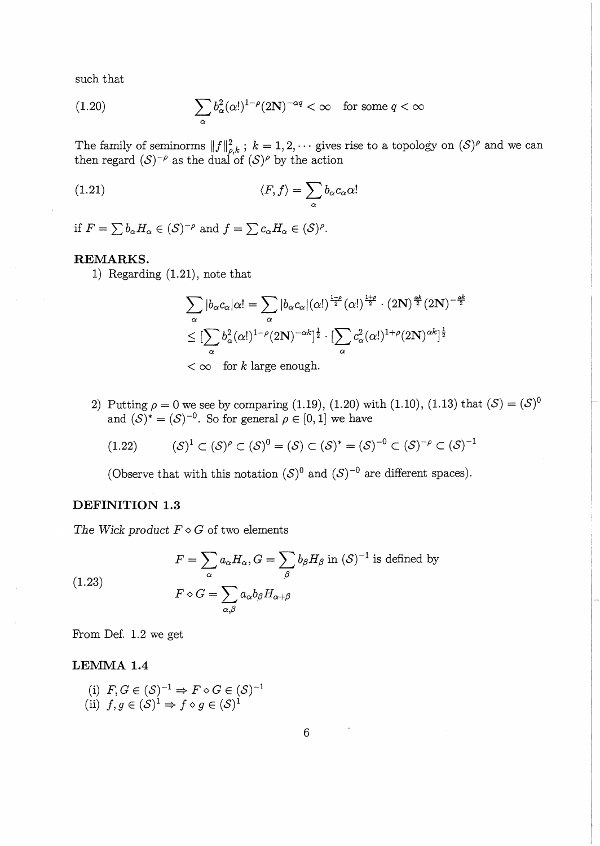such that

(1.20) 
$$
\sum_{\alpha} b_{\alpha}^{2}(\alpha!)^{1-\rho}(2\mathbf{N})^{-\alpha q} < \infty \quad \text{for some } q < \infty
$$

The family of seminorms  $||f||_{a,k}^2$ ;  $k = 1, 2, \cdots$  gives rise to a topology on  $(S)^{\rho}$  and we can then regard  $(S)^{-\rho}$  as the dual of  $(S)^{\rho}$  by the action

(1.21) 
$$
\langle F, f \rangle = \sum_{\alpha} b_{\alpha} c_{\alpha} \alpha!
$$

if  $F = \sum b_{\alpha} H_{\alpha} \in (\mathcal{S})^{-\rho}$  and  $f = \sum c_{\alpha} H_{\alpha} \in (\mathcal{S})^{\rho}$ .

# **REMARKS.**

1) Regarding (1.21), note that

$$
\sum_{\alpha} |b_{\alpha}c_{\alpha}|\alpha! = \sum_{\alpha} |b_{\alpha}c_{\alpha}|(\alpha!)^{\frac{1-\rho}{2}}(\alpha!)^{\frac{1+\rho}{2}} \cdot (2N)^{\frac{\alpha k}{2}}(2N)^{-\frac{\alpha k}{2}}
$$

$$
\leq [\sum_{\alpha} b_{\alpha}^{2}(\alpha!)^{1-\rho}(2N)^{-\alpha k}]^{\frac{1}{2}} \cdot [\sum_{\alpha} c_{\alpha}^{2}(\alpha!)^{1+\rho}(2N)^{\alpha k}]^{\frac{1}{2}}
$$

$$
< \infty \quad \text{for } k \text{ large enough.}
$$

2) Putting  $\rho = 0$  we see by comparing (1.19), (1.20) with (1.10), (1.13) that  $(S) = (S)^0$ and  $(S)^* = (S)^{-0}$ . So for general  $\rho \in [0, 1]$  we have

$$
(1.22) \qquad (\mathcal{S})^1 \subset (\mathcal{S})^{\rho} \subset (\mathcal{S})^0 = (\mathcal{S}) \subset (\mathcal{S})^* = (\mathcal{S})^{-0} \subset (\mathcal{S})^{-\rho} \subset (\mathcal{S})^{-1}
$$

(Observe that with this notation  $(S)^0$  and  $(S)^{-0}$  are different spaces).

# **DEFINITION 1.3**

The Wick product  $F \diamond G$  of two elements

(1.23) 
$$
F = \sum_{\alpha} a_{\alpha} H_{\alpha}, G = \sum_{\beta} b_{\beta} H_{\beta} \text{ in } (\mathcal{S})^{-1} \text{ is defined by}
$$

$$
F \diamond G = \sum_{\alpha, \beta} a_{\alpha} b_{\beta} H_{\alpha + \beta}
$$

From Def. 1.2 we get

### **LEMMA 1.4**

(i) 
$$
F, G \in (S)^{-1} \Rightarrow F \diamond G \in (S)^{-1}
$$
  
(ii)  $f, g \in (S)^{1} \Rightarrow f \diamond g \in (S)^{1}$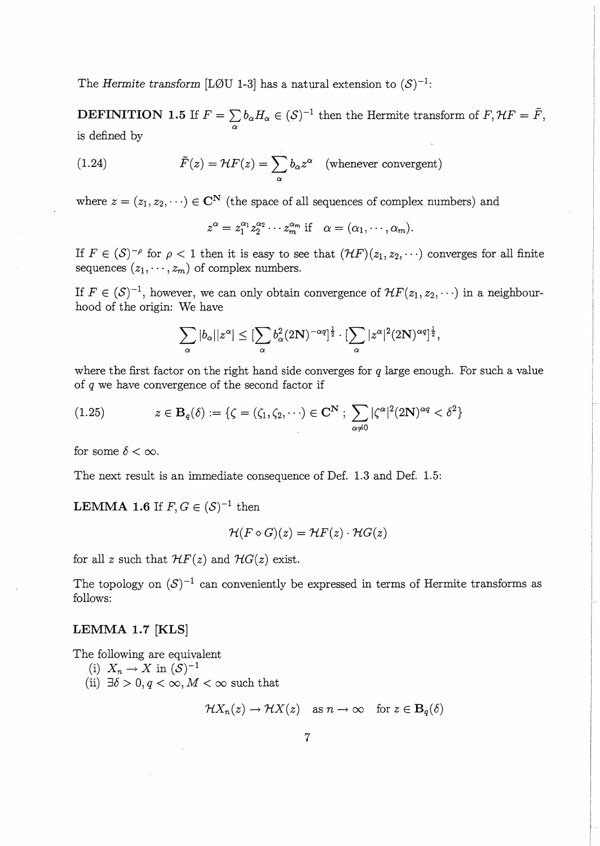The Hermite transform [L $\emptyset$ U 1-3] has a natural extension to  $(S)^{-1}$ :

**DEFINITION 1.5** If  $F = \sum b_{\alpha} H_{\alpha} \in (\mathcal{S})^{-1}$  then the Hermite transform of  $F, \mathcal{H}F = \tilde{F}$ , is defined by

(1.24) 
$$
\tilde{F}(z) = \mathcal{H}F(z) = \sum_{\alpha} b_{\alpha} z^{\alpha} \text{ (whenever convergent)}
$$

where  $z = (z_1, z_2, \dots) \in \mathbb{C}^{\mathbb{N}}$  (the space of all sequences of complex numbers) and

 $z^{\alpha} = z_1^{\alpha_1} z_2^{\alpha_2} \cdots z_m^{\alpha_m}$  if  $\alpha = (\alpha_1, \cdots, \alpha_m).$ 

If  $F \in (\mathcal{S})^{-\rho}$  for  $\rho < 1$  then it is easy to see that  $(\mathcal{H}F)(z_1, z_2, \cdots)$  converges for all finite sequences  $(z_1, \dots, z_m)$  of complex numbers.

If  $F \in (\mathcal{S})^{-1}$ , however, we can only obtain convergence of  $\mathcal{H}F(z_1, z_2, \cdots)$  in a neighbourhood of the origin: We have

$$
\sum_{\alpha} |b_{\alpha}| |z^{\alpha}| \leq [\sum_{\alpha} b_{\alpha}^2 (2N)^{-\alpha q}]^{\frac{1}{2}} \cdot [\sum_{\alpha} |z^{\alpha}|^2 (2N)^{\alpha q}]^{\frac{1}{2}},
$$

where the first factor on the right hand side converges for  $q$  large enough. For such a value of *q* we have convergence of the second factor if

(1.25) 
$$
z \in \mathbf{B}_q(\delta) := \{ \zeta = (\zeta_1, \zeta_2, \cdots) \in \mathbf{C}^{\mathbf{N}} : \sum_{\alpha \neq 0} |\zeta^{\alpha}|^2 (2\mathbf{N})^{\alpha q} < \delta^2 \}
$$

for some  $\delta < \infty$ .

The next result is an immediate consequence of Def. 1.3 and Def. 1.5:

**LEMMA 1.6** If  $F, G \in (\mathcal{S})^{-1}$  then

$$
\mathcal{H}(F \diamond G)(z) = \mathcal{H}F(z) \cdot \mathcal{H}G(z)
$$

for all *z* such that  $HF(z)$  and  $HG(z)$  exist.

The topology on  $(S)^{-1}$  can conveniently be expressed in terms of Hermite transforms as follows:

## **LEMMA 1.7 [KLS]**

The following are equivalent

- (i)  $X_n \to X$  in  $(\mathcal{S})^{-1}$
- (ii)  $\exists \delta > 0, q < \infty, M < \infty$  such that

 $\mathcal{H}X_n(z) \to \mathcal{H}X(z)$  as  $n \to \infty$  for  $z \in \mathbf{B}_q(\delta)$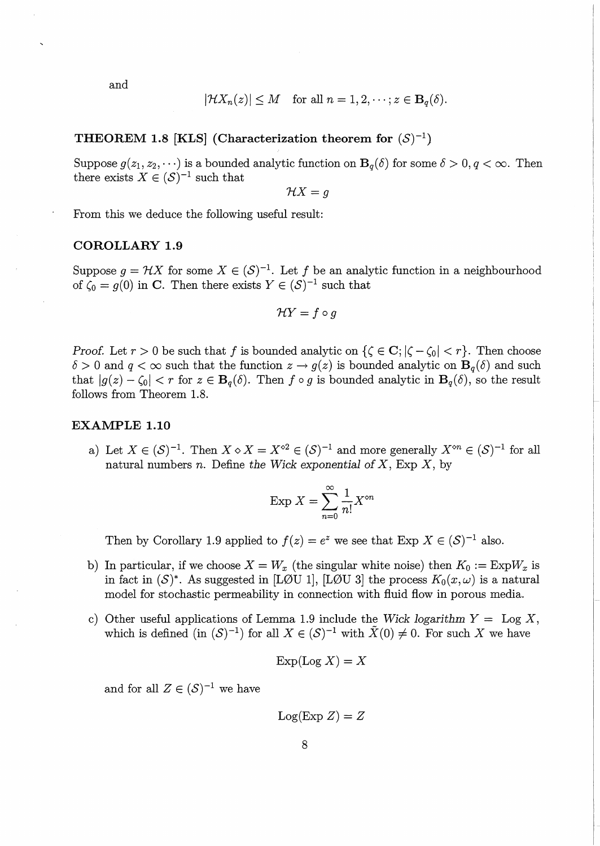and

$$
|\mathcal{H}X_n(z)| \leq M \quad \text{for all } n = 1, 2, \dots; z \in \mathbf{B}_q(\delta).
$$

**THEOREM 1.8 [KLS] (Characterization theorem for**  $(S)^{-1}$ **)** 

Suppose  $g(z_1, z_2, \dots)$  is a bounded analytic function on  $B_q(\delta)$  for some  $\delta > 0, q < \infty$ . Then there exists  $X \in (\mathcal{S})^{-1}$  such that

 $\mathcal{H}X=q$ 

From this we deduce the following useful result:

### **COROLLARY 1.9**

Suppose  $g = \mathcal{H}X$  for some  $X \in (\mathcal{S})^{-1}$ . Let f be an analytic function in a neighbourhood of  $\zeta_0 = g(0)$  in C. Then there exists  $Y \in (\mathcal{S})^{-1}$  such that

$$
\mathcal{H}Y = f \circ g
$$

*Proof.* Let  $r > 0$  be such that f is bounded analytic on  $\{\zeta \in \mathbf{C}; |\zeta - \zeta_0| < r\}$ . Then choose  $\delta > 0$  and  $q < \infty$  such that the function  $z \to g(z)$  is bounded analytic on  $B_q(\delta)$  and such that  $|g(z)-\zeta_0| < r$  for  $z \in \mathbf{B}_q(\delta)$ . Then  $f \circ g$  is bounded analytic in  $\mathbf{B}_q(\delta)$ , so the result follows from Theorem 1.8.

### **EXAMPLE 1.10**

a) Let  $X \in (\mathcal{S})^{-1}$ . Then  $X \diamond X = X^{\circ 2} \in (\mathcal{S})^{-1}$  and more generally  $X^{\circ n} \in (\mathcal{S})^{-1}$  for all natural numbers *n.* Define *the Wick exponential of X,* Exp *X,* by

$$
\operatorname{Exp} X = \sum_{n=0}^{\infty} \frac{1}{n!} X^{\circ n}
$$

Then by Corollary 1.9 applied to  $f(z) = e^z$  we see that Exp  $X \in (S)^{-1}$  also.

- b) In particular, if we choose  $X = W_x$  (the singular white noise) then  $K_0 := Exp W_x$  is in fact in  $(S)^*$ . As suggested in [LØU 1], [LØU 3] the process  $K_0(x,\omega)$  is a natural model for stochastic permeability in connection with fluid flow in porous media.
- c) Other useful applications of Lemma 1.9 include the *Wick logarithm*  $Y = \text{Log } X$ , which is defined (in  $(S)^{-1}$ ) for all  $X \in (S)^{-1}$  with  $\tilde{X}(0) \neq 0$ . For such X we have

$$
\operatorname{Exp}(\operatorname{Log} X) = X
$$

and for all  $Z \in (\mathcal{S})^{-1}$  we have

$$
Log(Exp Z) = Z
$$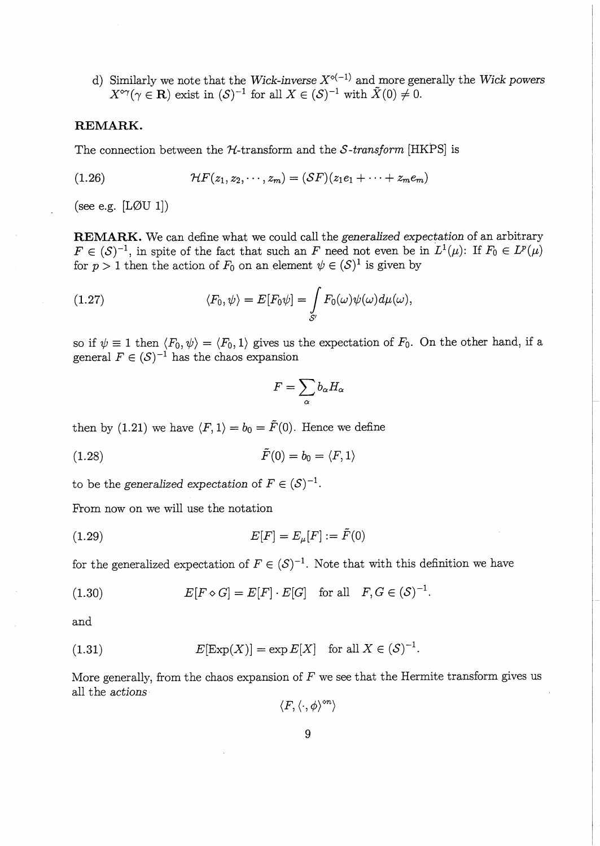d) Similarly we note that the *Wick-inverse*  $X^{\diamond(-1)}$  and more generally the *Wick powers*  $X^{\diamond\gamma}(\gamma \in \mathbf{R})$  exist in  $(\mathcal{S})^{-1}$  for all  $X \in (\mathcal{S})^{-1}$  with  $\tilde{X}(0) \neq 0$ .

#### **REMARK.**

The connection between the H-transform and the *S-transform* [HKPS] is

(1.26) 
$$
\mathcal{H}F(z_1, z_2, \cdots, z_m) = (SF)(z_1e_1 + \cdots + z_me_m)
$$

(see e.g.  $[LØU 1]$ )

**REMARK.** We can define what we could call the *generalized expectation* of an arbitrary  $F\in (\mathcal{S})^{-1}$ , in spite of the fact that such an F need not even be in  $L^1(\mu)$ : If  $F_0\in L^p(\mu)$ for  $p > 1$  then the action of  $F_0$  on an element  $\psi \in (S)^1$  is given by

(1.27) 
$$
\langle F_0, \psi \rangle = E[F_0 \psi] = \int_{S'} F_0(\omega) \psi(\omega) d\mu(\omega),
$$

so if  $\psi \equiv 1$  then  $\langle F_0 , \psi \rangle = \langle F_0 , 1 \rangle$  gives us the expectation of  $F_0$ . On the other hand, if a general  $F \in (\mathcal{S})^{-1}$  has the chaos expansion

$$
F=\sum_\alpha b_\alpha H_\alpha
$$

then by (1.21) we have  $\langle F, 1 \rangle = b_0 = \tilde{F}(0)$ . Hence we define

(1.28)  $\tilde{F}(0) = b_0 = \langle F, 1 \rangle$ 

to be the *generalized* expectation of  $F \in (\mathcal{S})^{-1}$ .

From now on we will use the notation

(1.29) 
$$
E[F] = E_{\mu}[F] := \tilde{F}(0)
$$

for the generalized expectation of  $F \in (S)^{-1}$ . Note that with this definition we have

$$
(1.30) \t E[F \diamond G] = E[F] \cdot E[G] \t for all \t F, G \in (\mathcal{S})^{-1}.
$$

and

(1.31) 
$$
E[\text{Exp}(X)] = \exp E[X] \text{ for all } X \in (S)^{-1}.
$$

More generally, from the chaos expansion of *F* we see that the Hermite transform gives us all the *actions* 

 $\langle F, \langle \cdot, \phi \rangle^{\diamond n} \rangle$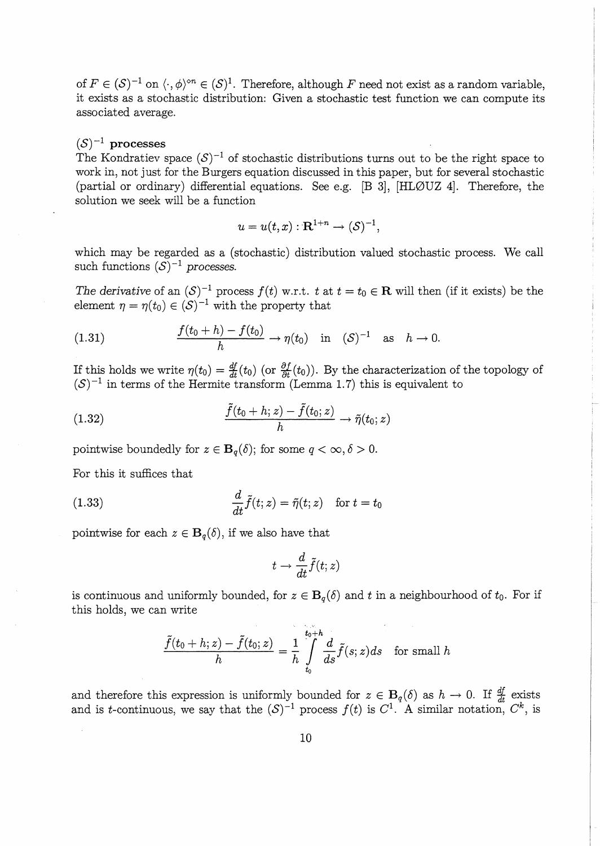of  $F \in (\mathcal{S})^{-1}$  on  $\langle \cdot, \phi \rangle^{\otimes n} \in (\mathcal{S})^1$ . Therefore, although F need not exist as a random variable, it exists as a stochastic distribution: Given a stochastic test function we can compute its associated average.

# $(S)^{-1}$  processes

The Kondratiev space  $(S)^{-1}$  of stochastic distributions turns out to be the right space to work in, not just for the Burgers equation discussed in this paper, but for several stochastic (partial or ordinary) differential equations. See e.g. [B 3], [HL0UZ 4]. Therefore, the solution we seek will be a function

$$
u = u(t, x): \mathbf{R}^{1+n} \to (\mathcal{S})^{-1},
$$

which may be regarded as a (stochastic) distribution valued stochastic process. We call such functions  $(S)^{-1}$  processes.

*The derivative* of an  $(S)^{-1}$  process  $f(t)$  w.r.t. t at  $t = t_0 \in \mathbb{R}$  will then (if it exists) be the element  $\eta = \eta(t_0) \in (S)^{-1}$  with the property that

(1.31) 
$$
\frac{f(t_0 + h) - f(t_0)}{h} \to \eta(t_0) \text{ in } (S)^{-1} \text{ as } h \to 0.
$$

If this holds we write  $\eta(t_0) = \frac{df}{dt}(t_0)$  (or  $\frac{\partial f}{\partial t}(t_0)$ ). By the characterization of the topology of  $(S)^{-1}$  in terms of the Hermite transform (Lemma 1.7) this is equivalent to

(1.32) 
$$
\frac{\tilde{f}(t_0+h;z)-\tilde{f}(t_0;z)}{h}\to \tilde{\eta}(t_0;z)
$$

pointwise boundedly for  $z \in B_q(\delta)$ ; for some  $q < \infty, \delta > 0$ .

For this it suffices that

(1.33) 
$$
\frac{d}{dt}\tilde{f}(t;z) = \tilde{\eta}(t;z) \text{ for } t = t_0
$$

pointwise for each  $z \in \mathbf{B}_{q}(\delta)$ , if we also have that

$$
t\to \frac{d}{dt} \tilde{f}(t;z)
$$

is continuous and uniformly bounded, for  $z \in B_q(\delta)$  and t in a neighbourhood of  $t_0$ . For if this holds, we can write

$$
\frac{\tilde{f}(t_0+h;z)-\tilde{f}(t_0;z)}{h}=\frac{1}{h}\int\limits_{t_0}^{t_0+h}\frac{d}{ds}\tilde{f}(s;z)ds\quad \text{for small }h
$$

and therefore this expression is uniformly bounded for  $z \in B_q(\delta)$  as  $h \to 0$ . If  $\frac{df}{dt}$  exists and is *t*-continuous, we say that the  $(S)^{-1}$  process  $f(t)$  is  $C^1$ . A similar notation,  $C^k$ , is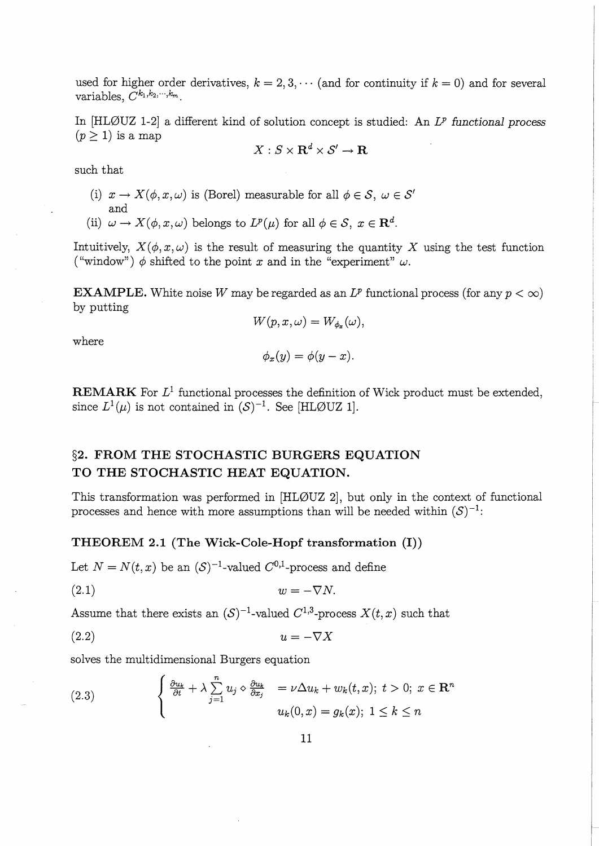used for higher order derivatives,  $k = 2, 3, \cdots$  (and for continuity if  $k = 0$ ) and for several variables,  $C^{k_1, k_2, \cdots, k_m}$ .

In [HLØUZ 1-2] a different kind of solution concept is studied: An  $L^p$  functional process  $(p \geq 1)$  is a map

$$
X:S\times \mathbf{R}^d\times \mathcal{S}'\to \mathbf{R}
$$

such that

- (i)  $x \to X(\phi, x, \omega)$  is (Borel) measurable for all  $\phi \in \mathcal{S}, \ \omega \in \mathcal{S}'$ and
- (ii)  $\omega \to X(\phi, x, \omega)$  belongs to  $L^p(\mu)$  for all  $\phi \in \mathcal{S}, x \in \mathbb{R}^d$ .

Intuitively,  $X(\phi, x, \omega)$  is the result of measuring the quantity X using the test function ("window")  $\phi$  shifted to the point *x* and in the "experiment"  $\omega$ .

**EXAMPLE.** White noise *W* may be regarded as an  $L^p$  functional process (for any  $p < \infty$ ) by putting

$$
W(p,x,\omega)=W_{\phi_x}(\omega),
$$

where

$$
\phi_x(y)=\phi(y-x).
$$

**REMARK** For  $L^1$  functional processes the definition of Wick product must be extended, since  $L^1(\mu)$  is not contained in  $(S)^{-1}$ . See [HLØUZ 1].

# **§2. FROM THE STOCHASTIC BURGERS EQUATION TO THE STOCHASTIC HEAT EQUATION.**

This transformation was performed in  $[HL\emptyset UZ 2]$ , but only in the context of functional processes and hence with more assumptions than will be needed within  $(S)^{-1}$ :

## **THEOREM 2.1 (The Wick-Cole-Hopf transformation (I))**

Let  $N = N(t, x)$  be an  $(S)^{-1}$ -valued  $C^{0,1}$ -process and define

$$
(2.1) \t\t w = -\nabla N.
$$

Assume that there exists an  $(S)^{-1}$ -valued  $C^{1,3}$ -process  $X(t, x)$  such that

$$
(2.2) \t\t u = -\nabla X
$$

solves the multidimensional Burgers equation

(2.3) 
$$
\begin{cases} \frac{\partial u_k}{\partial t} + \lambda \sum_{j=1}^n u_j \diamond \frac{\partial u_k}{\partial x_j} = \nu \Delta u_k + w_k(t, x); \ t > 0; \ x \in \mathbb{R}^n \\ u_k(0, x) = g_k(x); \ 1 \leq k \leq n \end{cases}
$$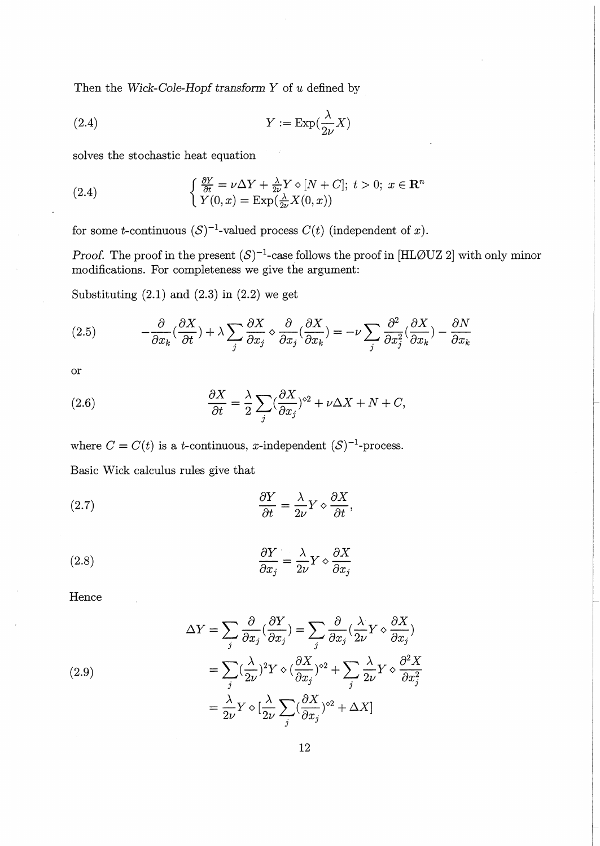Then the *Wick-Cole-Hopf transform Y* of u defined by

(2.4) 
$$
Y := \operatorname{Exp}(\frac{\lambda}{2\nu}X)
$$

solves the stochastic heat equation

(2.4) 
$$
\begin{cases} \frac{\partial Y}{\partial t} = \nu \Delta Y + \frac{\lambda}{2\nu} Y \diamond [N + C]; \ t > 0; \ x \in \mathbb{R}^n \\ Y(0, x) = \text{Exp}(\frac{\lambda}{2\nu} X(0, x)) \end{cases}
$$

for some *t*-continuous  $(S)^{-1}$ -valued process  $C(t)$  (independent of *x*).

*Proof.* The proof in the present  $(S)^{-1}$ -case follows the proof in [HLØUZ 2] with only minor modifications. For completeness we give the argument:

Substituting  $(2.1)$  and  $(2.3)$  in  $(2.2)$  we get

(2.5) 
$$
-\frac{\partial}{\partial x_k}(\frac{\partial X}{\partial t}) + \lambda \sum_j \frac{\partial X}{\partial x_j} \diamond \frac{\partial}{\partial x_j}(\frac{\partial X}{\partial x_k}) = -\nu \sum_j \frac{\partial^2}{\partial x_j^2}(\frac{\partial X}{\partial x_k}) - \frac{\partial N}{\partial x_k}
$$

or

(2.6) 
$$
\frac{\partial X}{\partial t} = \frac{\lambda}{2} \sum_{j} \left( \frac{\partial X}{\partial x_j} \right)^{2} + \nu \Delta X + N + C,
$$

where  $C = C(t)$  is a *t*-continuous, *x*-independent  $(S)^{-1}$ -process.

Basic Wick calculus rules give that

(2.7) 
$$
\frac{\partial Y}{\partial t} = \frac{\lambda}{2\nu} Y \diamond \frac{\partial X}{\partial t},
$$

(2.8) 
$$
\frac{\partial Y}{\partial x_j} = \frac{\lambda}{2\nu} Y \diamond \frac{\partial X}{\partial x_j}
$$

Hence

(2.9)  
\n
$$
\Delta Y = \sum_{j} \frac{\partial}{\partial x_{j}} (\frac{\partial Y}{\partial x_{j}}) = \sum_{j} \frac{\partial}{\partial x_{j}} (\frac{\lambda}{2\nu} Y \diamond \frac{\partial X}{\partial x_{j}})
$$
\n
$$
= \sum_{j} (\frac{\lambda}{2\nu})^{2} Y \diamond (\frac{\partial X}{\partial x_{j}})^{2} + \sum_{j} \frac{\lambda}{2\nu} Y \diamond \frac{\partial^{2} X}{\partial x_{j}^{2}}
$$
\n
$$
= \frac{\lambda}{2\nu} Y \diamond [\frac{\lambda}{2\nu} \sum_{j} (\frac{\partial X}{\partial x_{j}})^{2} + \Delta X]
$$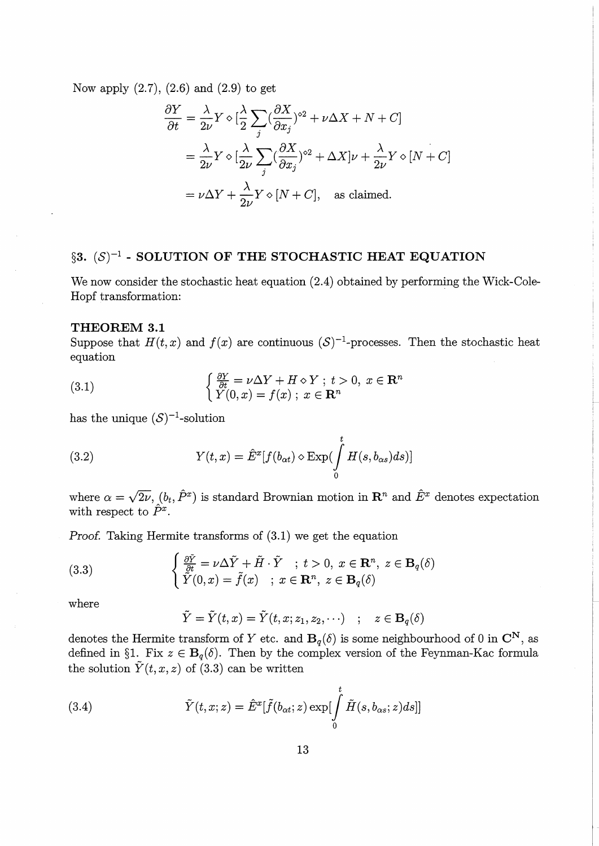Now apply  $(2.7)$ ,  $(2.6)$  and  $(2.9)$  to get

$$
\frac{\partial Y}{\partial t} = \frac{\lambda}{2\nu} Y \diamond \left[\frac{\lambda}{2} \sum_{j} \left(\frac{\partial X}{\partial x_{j}}\right)^{\diamond 2} + \nu \Delta X + N + C\right]
$$
  
=  $\frac{\lambda}{2\nu} Y \diamond \left[\frac{\lambda}{2\nu} \sum_{j} \left(\frac{\partial X}{\partial x_{j}}\right)^{\diamond 2} + \Delta X\right] \nu + \frac{\lambda}{2\nu} Y \diamond [N + C]$   
=  $\nu \Delta Y + \frac{\lambda}{2\nu} Y \diamond [N + C],$  as claimed.

# $\S3.$   $(S)^{-1}$  - SOLUTION OF THE STOCHASTIC HEAT EQUATION

We now consider the stochastic heat equation  $(2.4)$  obtained by performing the Wick-Cole-Hopf transformation:

#### **THEOREM 3.1**

Suppose that  $H(t, x)$  and  $f(x)$  are continuous  $(S)^{-1}$ -processes. Then the stochastic heat equation

(3.1) 
$$
\begin{cases} \frac{\partial Y}{\partial t} = \nu \Delta Y + H \diamond Y \; ; \; t > 0, \; x \in \mathbb{R}^n \\ Y(0, x) = f(x) \; ; \; x \in \mathbb{R}^n \end{cases}
$$

has the unique  $(S)^{-1}$ -solution

(3.2) 
$$
Y(t,x) = \hat{E}^x[f(b_{\alpha t}) \diamond \text{Exp}(\int_0^t H(s,b_{\alpha s})ds)]
$$

where  $\alpha = \sqrt{2\nu}$ ,  $(b_t, \hat{P}^x)$  is standard Brownian motion in  $\mathbb{R}^n$  and  $\hat{E}^x$  denotes expectation with respect to  $\hat{P}^x$ .

Proof. Taking Hermite transforms of (3.1) we get the equation  
\n(3.3) 
$$
\begin{cases}\n\frac{\partial \tilde{Y}}{\partial t} = \nu \Delta \tilde{Y} + \tilde{H} \cdot \tilde{Y} ; t > 0, x \in \mathbb{R}^n, z \in \mathbb{B}_q(\delta) \\
\tilde{Y}(0, x) = \tilde{f}(x) ; x \in \mathbb{R}^n, z \in \mathbb{B}_q(\delta)\n\end{cases}
$$

where

$$
\tilde{Y} = \tilde{Y}(t, x) = \tilde{Y}(t, x; z_1, z_2, \cdots) \quad ; \quad z \in \mathbf{B}_q(\delta)
$$

denotes the Hermite transform of *Y* etc. and  $B_q(\delta)$  is some neighbourhood of 0 in  $\mathbb{C}^N$ , as defined in §1. Fix  $z \in B_q(\delta)$ . Then by the complex version of the Feynman-Kac formula the solution  $\tilde{Y}(t, x, z)$  of (3.3) can be written

(3.4) 
$$
\tilde{Y}(t,x;z) = \hat{E}^{x}[\tilde{f}(b_{\alpha t};z) \exp[\int_{0}^{t} \tilde{H}(s,b_{\alpha s};z)ds]]
$$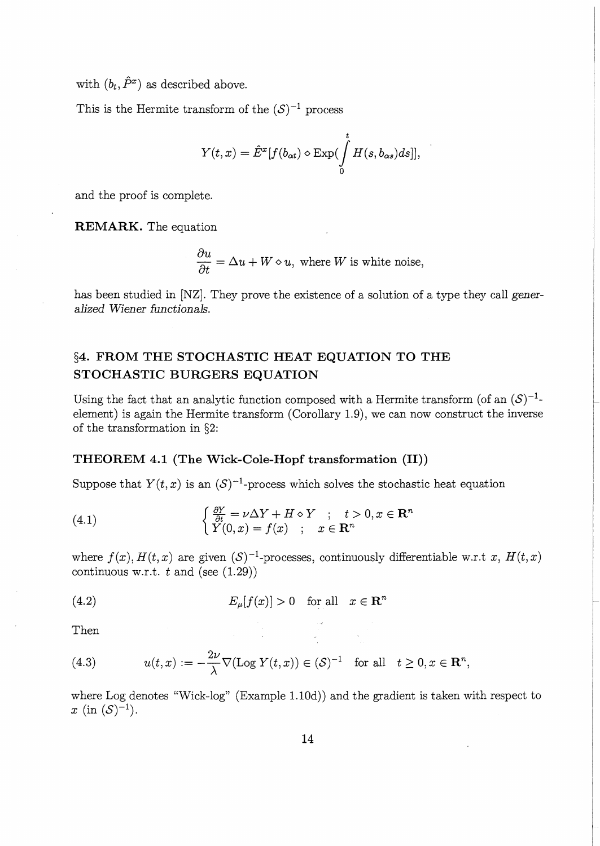with  $(b_t, \hat{P}^x)$  as described above.

This is the Hermite transform of the  $(S)^{-1}$  process

$$
Y(t,x) = \hat{E}^x[f(b_{\alpha t}) \diamond \text{Exp}(\int_0^t H(s,b_{\alpha s})ds)],
$$

and the proof is complete.

**REMARK.** The equation

$$
\frac{\partial u}{\partial t} = \Delta u + W \diamond u, \text{ where } W \text{ is white noise,}
$$

has been studied in [NZ]. They prove the existence of a solution of a type they call *generalized Wiener functionals.* 

# **§4. FROM THE STOCHASTIC HEAT EQUATION TO THE STOCHASTIC BURGERS EQUATION**

Using the fact that an analytic function composed with a Hermite transform (of an  $(S)^{-1}$ element) is again the Hermite transform (Corollary 1.9), we can now construct the inverse of the transformation in §2:

## **THEOREM 4.1 (The Wick-Cole-Hopf transformation (II))**

Suppose that  $Y(t, x)$  is an  $(S)^{-1}$ -process which solves the stochastic heat equation

(4.1) 
$$
\begin{cases} \frac{\partial Y}{\partial t} = \nu \Delta Y + H \diamond Y ; & t > 0, x \in \mathbb{R}^n \\ Y(0, x) = f(x) ; & x \in \mathbb{R}^n \end{cases}
$$

where  $f(x)$ ,  $H(t, x)$  are given  $(S)^{-1}$ -processes, continuously differentiable w.r.t *x*,  $H(t, x)$ continuous w.r.t.  $t$  and (see  $(1.29)$ )

(4.2) 
$$
E_{\mu}[f(x)] > 0 \text{ for all } x \in \mathbb{R}^{n}
$$

Then

(4.3) 
$$
u(t,x) := -\frac{2\nu}{\lambda} \nabla (\text{Log } Y(t,x)) \in (\mathcal{S})^{-1} \text{ for all } t \ge 0, x \in \mathbb{R}^n,
$$

where Log denotes "Wick-log" (Example 1.10d)) and the gradient is taken with respect to *x* (in  $(S)^{-1}$ ).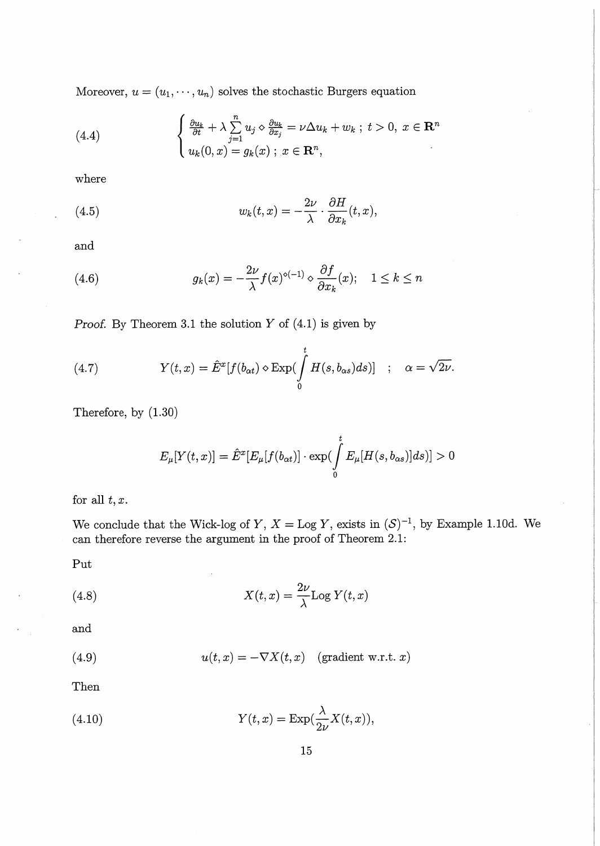Moreover,  $u = (u_1, \dots, u_n)$  solves the stochastic Burgers equation

(4.4) 
$$
\begin{cases} \frac{\partial u_k}{\partial t} + \lambda \sum_{j=1}^n u_j \diamond \frac{\partial u_k}{\partial x_j} = \nu \Delta u_k + w_k \; ; \; t > 0, \; x \in \mathbb{R}^n \\ u_k(0, x) = g_k(x) \; ; \; x \in \mathbb{R}^n, \end{cases}
$$

where

(4.5) 
$$
w_k(t,x) = -\frac{2\nu}{\lambda} \cdot \frac{\partial H}{\partial x_k}(t,x),
$$

and

(4.6) 
$$
g_k(x) = -\frac{2\nu}{\lambda} f(x)^{\diamond (-1)} \diamond \frac{\partial f}{\partial x_k}(x); \quad 1 \leq k \leq n
$$

Proof. By Theorem 3.1 the solution  $Y$  of  $(4.1)$  is given by

(4.7) 
$$
Y(t,x) = \hat{E}^x[f(b_{\alpha t}) \diamond \text{Exp}(\int_0^t H(s,b_{\alpha s})ds)] \quad ; \quad \alpha = \sqrt{2\nu}.
$$

Therefore, by (1.30)

$$
E_{\mu}[Y(t,x)] = \hat{E}^{x}[E_{\mu}[f(b_{\alpha t})] \cdot \exp(\int_{0}^{t} E_{\mu}[H(s,b_{\alpha s})]ds)] > 0
$$

for all  $t, x$ .

We conclude that the Wick-log of Y,  $X =$ Log Y, exists in  $(S)^{-1}$ , by Example 1.10d. We can therefore reverse the argument in the proof of Theorem 2.1:

Put

(4.8) 
$$
X(t,x) = \frac{2\nu}{\lambda} \text{Log } Y(t,x)
$$

and

(4.9) 
$$
u(t,x) = -\nabla X(t,x) \quad \text{(gradient w.r.t. } x)
$$

Then

(4.10) 
$$
Y(t,x) = \operatorname{Exp}(\frac{\lambda}{2\nu}X(t,x)),
$$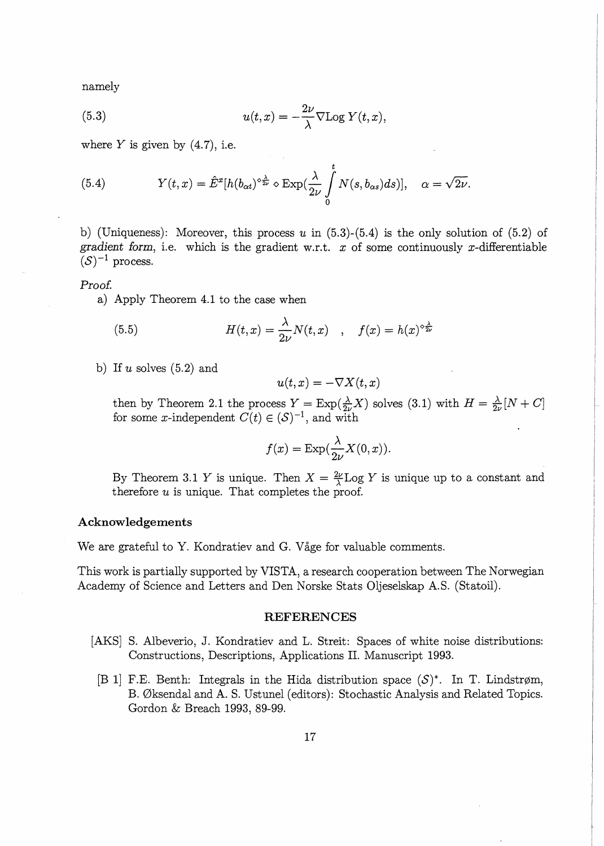namely

(5.3) 
$$
u(t,x) = -\frac{2\nu}{\lambda} \nabla \text{Log } Y(t,x),
$$

where  $Y$  is given by  $(4.7)$ , i.e.

(5.4) 
$$
Y(t,x) = \hat{E}^x[h(b_{\alpha t})^{\diamond \frac{\lambda}{2\nu}} \diamond \text{Exp}(\frac{\lambda}{2\nu} \int_0^t N(s,b_{\alpha s})ds)], \quad \alpha = \sqrt{2\nu}.
$$

b) (Uniqueness): Moreover, this process *u* in (5.3)-(5.4) is the only solution of (5.2) of gradient form, i.e. which is the gradient w.r.t.  $x$  of some continuously  $x$ -differentiable  $(S)^{-1}$  process.

#### Proof.

a) Apply Theorem 4.1 to the case when

(5.5) 
$$
H(t,x) = \frac{\lambda}{2\nu} N(t,x) \quad , \quad f(x) = h(x)^{\diamond \frac{\lambda}{2\nu}}
$$

b) If *u* solves (5.2) and

$$
u(t,x) = -\nabla X(t,x)
$$

then by Theorem 2.1 the process  $Y = \text{Exp}(\frac{\lambda}{2\nu}X)$  solves (3.1) with  $H = \frac{\lambda}{2\nu}[N+C]$ for some x-independent  $C(t) \in (S)^{-1}$ , and with

$$
f(x) = \exp(\frac{\lambda}{2\nu}X(0, x)).
$$

By Theorem 3.1 Y is unique. Then  $X = \frac{2\nu}{\lambda} \text{Log } Y$  is unique up to a constant and therefore *u* is unique. That completes the proof.

### **Acknowledgements**

We are grateful to Y. Kondratiev and G. Våge for valuable comments.

This work is partially supported by VISTA, a research cooperation between The Norwegian Academy of Science and Letters and Den Norske Stats Oljeselskap A.S. (Statoil).

#### **REFERENCES**

- [AKS] S. Albeverio, J. Kondratiev and L. Streit: Spaces of white noise distributions: Constructions, Descriptions, Applications II. Manuscript 1993.
	- [B 1] F.E. Benth: Integrals in the Hida distribution space  $(S)^*$ . In T. Lindstrøm, B. 0ksendal and A. S. Ustunel (editors): Stochastic Analysis and Related Topics. Gordon & Breach 1993, 89-99.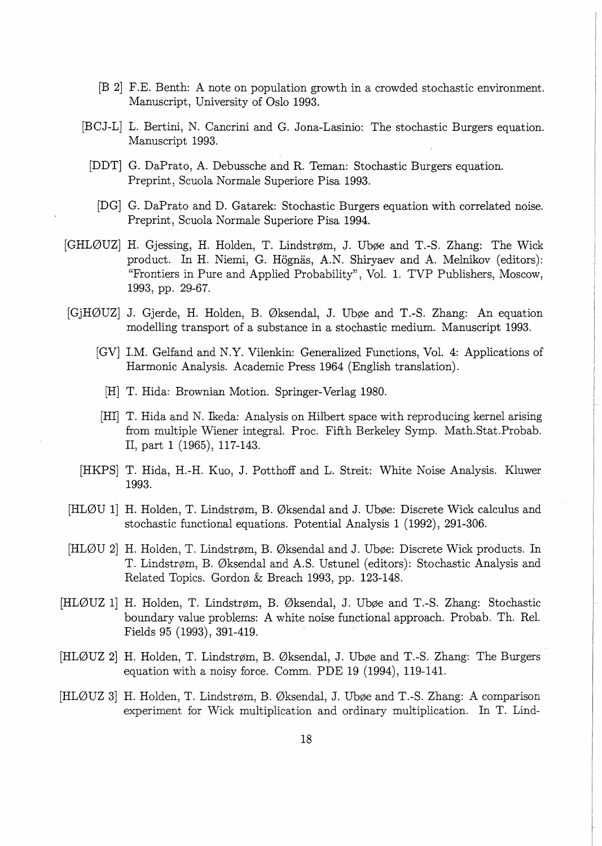- [B 2] F.E. Benth: A note on population growth in a crowded stochastic environment. Manuscript, University of Oslo 1993.
- [BCJ-L] L. Bertini, N. Cancrini and G. Jona-Lasinio: The stochastic Burgers equation. Manuscript 1993.
	- [DDT] G. DaPrato, A. Debussche and R. Ternan: Stochastic Burgers equation. Preprint, Scuola Normale Superiore Pisa 1993.
	- [DG] G. DaPrato and D. Gatarek: Stochastic Burgers equation with correlated noise. Preprint, Scuola Normale Superiore Pisa 1994.
- [GHLØUZ] H. Gjessing, H. Holden, T. Lindstrøm, J. Ubøe and T.-S. Zhang: The Wick product. In H. Niemi, G. Högnäs, A.N. Shiryaev and A. Melnikov (editors): "Frontiers in Pure and Applied Probability", Vol. 1. TVP Publishers, Moscow, 1993, pp. 29-67.
- [GjH0UZ] J. Gjerde, H. Holden, B. 0ksendal, J. Ub¢e and T.-S. Zhang: An equation modelling transport of a substance in a stochastic medium. Manuscript 1993.
	- [GV] I.M. Gelfand and N.Y. Vilenkin: Generalized Functions, Vol. 4: Applications of Harmonic Analysis. Academic Press 1964 (English translation).
		- [H] T. Hida: Brownian Motion. Springer-Verlag 1980.
	- [HI] T. Hida and N. Ikeda: Analysis on Hilbert space with reproducing kernel arising from multiple Wiener integral. Proc. Fifth Berkeley Symp. Math.Stat.Probab. II, part 1 (1965), 117-143.
	- [HKPS] T. Hida, H.-H. Kuo, J. Potthoff and L. Streit: White Noise Analysis. Kluwer 1993.
- [HLØU 1] H. Holden, T. Lindstrøm, B. Øksendal and J. Ubøe: Discrete Wick calculus and stochastic functional equations. Potential Analysis 1 (1992), 291-306.
- [HLØU 2] H. Holden, T. Lindstrøm, B. Øksendal and J. Ubøe: Discrete Wick products. In T. Lindstr¢m, B. 0ksendal and A.S. Ustunel (editors): Stochastic Analysis and Related Topics. Gordon & Breach 1993, pp. 123-148.
- [HLØUZ 1] H. Holden, T. Lindstrøm, B. Øksendal, J. Ubøe and T.-S. Zhang: Stochastic boundary value problems: A white noise functional approach. Probab. Th. Rel. Fields 95 (1993), 391-419.
- [HLØUZ 2] H. Holden, T. Lindstrøm, B. Øksendal, J. Ubøe and T.-S. Zhang: The Burgers equation with a noisy force. Comm. PDE 19 (1994), 119-141.
- [HLØUZ 3] H. Holden, T. Lindstrøm, B. Øksendal, J. Ubøe and T.-S. Zhang: A comparison experiment for Wick multiplication and ordinary multiplication. In T. Lind-